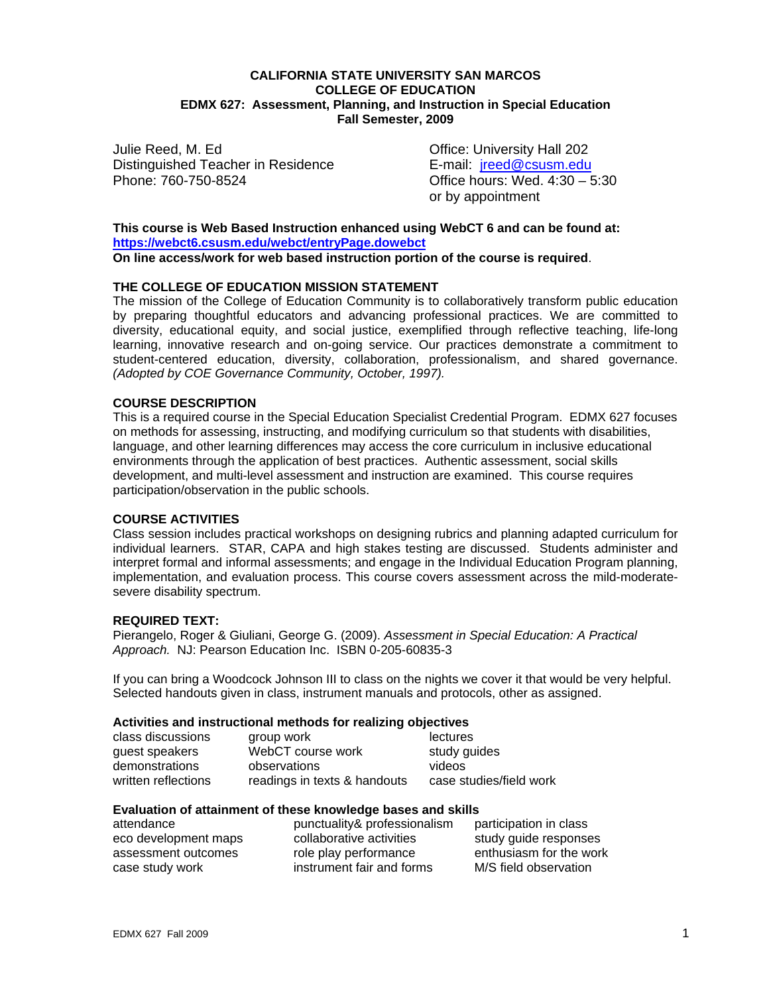#### **CALIFORNIA STATE UNIVERSITY SAN MARCOS COLLEGE OF EDUCATION EDMX 627: Assessment, Planning, and Instruction in Special Education Fall Semester, 2009**

Phone: 760-750-8524 Julie Reed, M. Ed **Democratic Education Contract Contract Contract Contract Contract Contract Contract Contract Contract Contract Contract Contract Contract Contract Contract Contract Contract Contract Contract Contract Co** Distinguished Teacher in Residence E-mail: jreed@csusm.edu

Office hours: Wed.  $4:30-5:30$ or by appointment

**This course is Web Based Instruction enhanced using WebCT 6 and can be found at: https://webct6.csusm.edu/webct/entryPage.dowebct** 

**On line access/work for web based instruction portion of the course is required**.

### **THE COLLEGE OF EDUCATION MISSION STATEMENT**

The mission of the College of Education Community is to collaboratively transform public education by preparing thoughtful educators and advancing professional practices. We are committed to diversity, educational equity, and social justice, exemplified through reflective teaching, life-long learning, innovative research and on-going service. Our practices demonstrate a commitment to student-centered education, diversity, collaboration, professionalism, and shared governance. *(Adopted by COE Governance Community, October, 1997).* 

### **COURSE DESCRIPTION**

This is a required course in the Special Education Specialist Credential Program. EDMX 627 focuses on methods for assessing, instructing, and modifying curriculum so that students with disabilities, language, and other learning differences may access the core curriculum in inclusive educational environments through the application of best practices. Authentic assessment, social skills development, and multi-level assessment and instruction are examined. This course requires participation/observation in the public schools.

#### **COURSE ACTIVITIES**

Class session includes practical workshops on designing rubrics and planning adapted curriculum for individual learners. STAR, CAPA and high stakes testing are discussed. Students administer and interpret formal and informal assessments; and engage in the Individual Education Program planning, implementation, and evaluation process. This course covers assessment across the mild-moderatesevere disability spectrum.

#### **REQUIRED TEXT:**

Pierangelo, Roger & Giuliani, George G. (2009). *Assessment in Special Education: A Practical Approach.* NJ: Pearson Education Inc. ISBN 0-205-60835-3

If you can bring a Woodcock Johnson III to class on the nights we cover it that would be very helpful. Selected handouts given in class, instrument manuals and protocols, other as assigned.

#### **Activities and instructional methods for realizing objectives**

| class discussions   | group work                   | lectures                |
|---------------------|------------------------------|-------------------------|
| guest speakers      | WebCT course work            | study guides            |
| demonstrations      | observations                 | videos                  |
| written reflections | readings in texts & handouts | case studies/field work |

#### **Evaluation of attainment of these knowledge bases and skills**

| attendance           | punctuality& professionalism | participation in class  |
|----------------------|------------------------------|-------------------------|
| eco development maps | collaborative activities     | study guide responses   |
| assessment outcomes  | role play performance        | enthusiasm for the work |
| case study work      | instrument fair and forms    | M/S field observation   |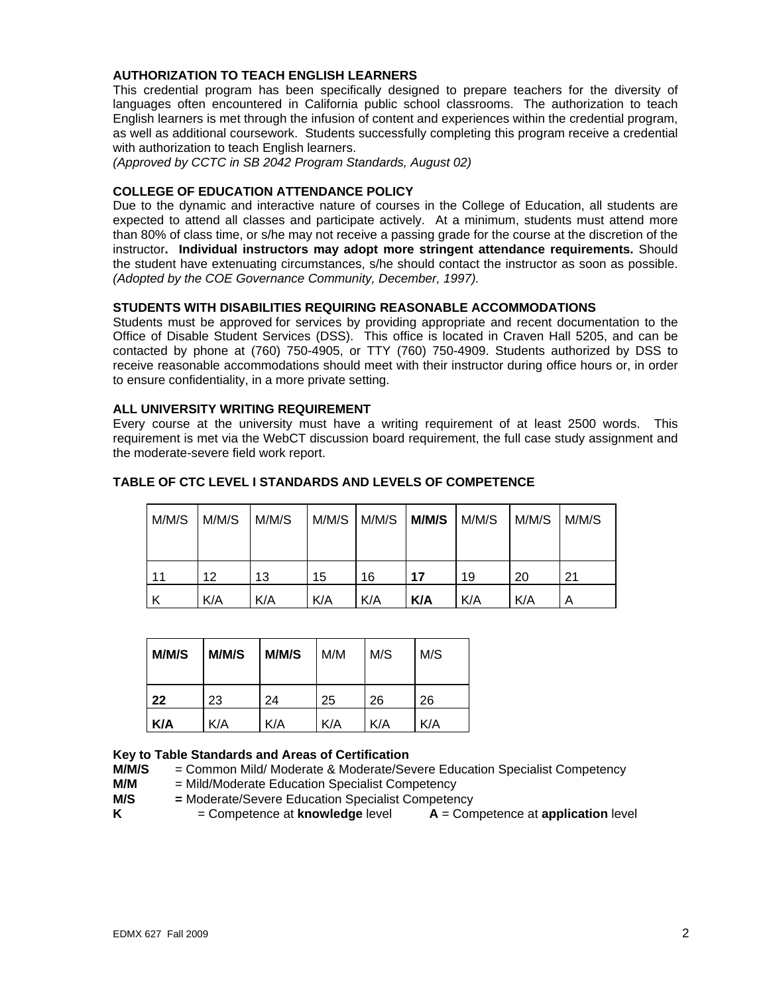## **AUTHORIZATION TO TEACH ENGLISH LEARNERS**

This credential program has been specifically designed to prepare teachers for the diversity of languages often encountered in California public school classrooms. The authorization to teach English learners is met through the infusion of content and experiences within the credential program, as well as additional coursework. Students successfully completing this program receive a credential with authorization to teach English learners.

*(Approved by CCTC in SB 2042 Program Standards, August 02)* 

#### **COLLEGE OF EDUCATION ATTENDANCE POLICY**

 *(Adopted by the COE Governance Community, December, 1997).* Due to the dynamic and interactive nature of courses in the College of Education, all students are expected to attend all classes and participate actively. At a minimum, students must attend more than 80% of class time, or s/he may not receive a passing grade for the course at the discretion of the instructor**. Individual instructors may adopt more stringent attendance requirements.** Should the student have extenuating circumstances, s/he should contact the instructor as soon as possible.

#### **STUDENTS WITH DISABILITIES REQUIRING REASONABLE ACCOMMODATIONS**

Students must be approved for services by providing appropriate and recent documentation to the Office of Disable Student Services (DSS). This office is located in Craven Hall 5205, and can be contacted by phone at (760) 750-4905, or TTY (760) 750-4909. Students authorized by DSS to receive reasonable accommodations should meet with their instructor during office hours or, in order to ensure confidentiality, in a more private setting.

#### **ALL UNIVERSITY WRITING REQUIREMENT**

Every course at the university must have a writing requirement of at least 2500 words. This requirement is met via the WebCT discussion board requirement, the full case study assignment and the moderate-severe field work report.

| M/M/S | M/M/S | M/M/S |     | $M/M/S$ $ M/M/S $ $M/M/S$ |     | M/M/S | M/M/S | M/M/S |
|-------|-------|-------|-----|---------------------------|-----|-------|-------|-------|
| 11    | 12    | 13    | 15  | 16                        | 17  | 19    | 20    | 21    |
|       | K/A   | K/A   | K/A | K/A                       | K/A | K/A   | K/A   | A     |

#### **TABLE OF CTC LEVEL I STANDARDS AND LEVELS OF COMPETENCE**

| M/M/S | M/M/S | M/M/S | M/M | M/S | M/S |
|-------|-------|-------|-----|-----|-----|
| 22    | 23    | 24    | 25  | 26  | 26  |
| K/A   | K/A   | K/A   | K/A | K/A | K/A |

#### **Key to Table Standards and Areas of Certification**

M/M **M/M/S** = Common Mild/ Moderate & Moderate/Severe Education Specialist Competency  $=$  Mild/Moderate Education Specialist Competency

- **M/S =** Moderate/Severe Education Specialist Competency
- 

**K**  $=$  Competence at **knowledge** level  $\bf{A} =$  Competence at **application** level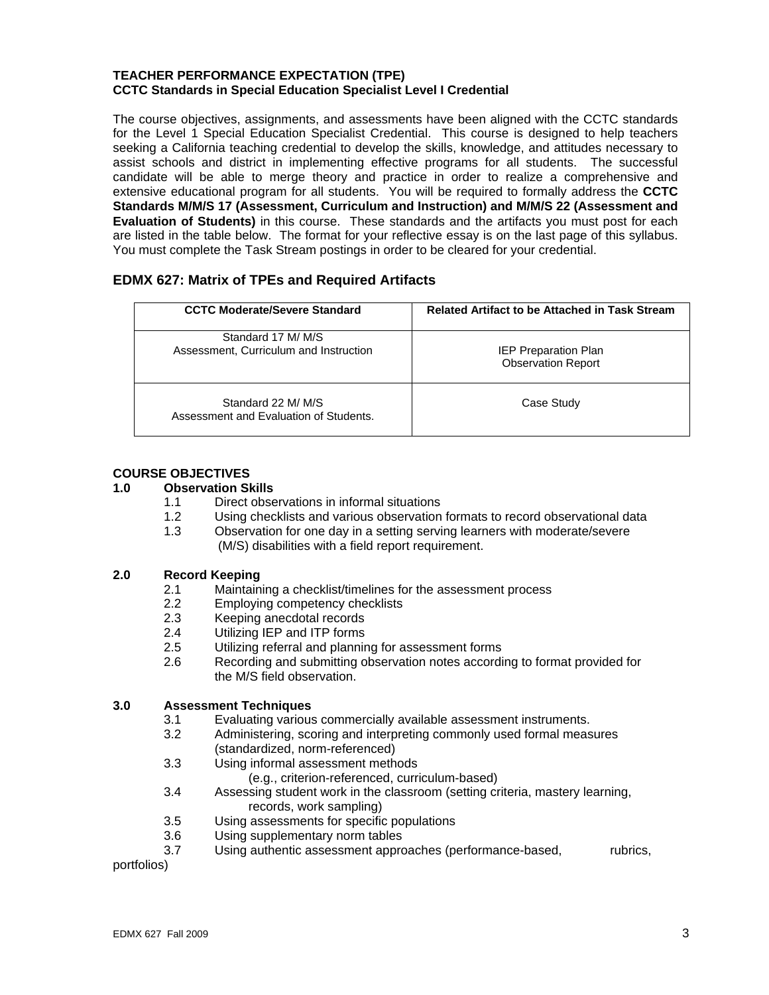#### **TEACHER PERFORMANCE EXPECTATION (TPE) CCTC Standards in Special Education Specialist Level I Credential**

The course objectives, assignments, and assessments have been aligned with the CCTC standards for the Level 1 Special Education Specialist Credential. This course is designed to help teachers seeking a California teaching credential to develop the skills, knowledge, and attitudes necessary to assist schools and district in implementing effective programs for all students. The successful candidate will be able to merge theory and practice in order to realize a comprehensive and extensive educational program for all students. You will be required to formally address the **CCTC Standards M/M/S 17 (Assessment, Curriculum and Instruction) and M/M/S 22 (Assessment and Evaluation of Students)** in this course. These standards and the artifacts you must post for each are listed in the table below. The format for your reflective essay is on the last page of this syllabus. You must complete the Task Stream postings in order to be cleared for your credential.

# **EDMX 627: Matrix of TPEs and Required Artifacts**

| <b>CCTC Moderate/Severe Standard</b>                         | <b>Related Artifact to be Attached in Task Stream</b>    |
|--------------------------------------------------------------|----------------------------------------------------------|
| Standard 17 M/ M/S<br>Assessment, Curriculum and Instruction | <b>IEP Preparation Plan</b><br><b>Observation Report</b> |
| Standard 22 M/ M/S<br>Assessment and Evaluation of Students. | Case Study                                               |

### **COURSE OBJECTIVES**

#### **1.0 Observation Skills**

- 1.1 Direct observations in informal situations
- 1.2 Using checklists and various observation formats to record observational data
- 1.3 Observation for one day in a setting serving learners with moderate/severe (M/S) disabilities with a field report requirement.

#### **2.0 Record Keeping**

- 2.1 Maintaining a checklist/timelines for the assessment process
- 2.2 Employing competency checklists
- 2.3 Keeping anecdotal records
- 2.4 Utilizing IEP and ITP forms
- 2.5 Utilizing referral and planning for assessment forms
- 2.6 Recording and submitting observation notes according to format provided for the M/S field observation.

# **3.0 Assessment Techniques**

- 3.1 Evaluating various commercially available assessment instruments.
- 3.2 Administering, scoring and interpreting commonly used formal measures (standardized, norm-referenced)
- 3.3 Using informal assessment methods
	- (e.g., criterion-referenced, curriculum-based)
- 3.4 Assessing student work in the classroom (setting criteria, mastery learning, records, work sampling)
- 3.5 Using assessments for specific populations
- 3.6 Using supplementary norm tables
- 3.7 Using authentic assessment approaches (performance-based, rubrics,

portfolios)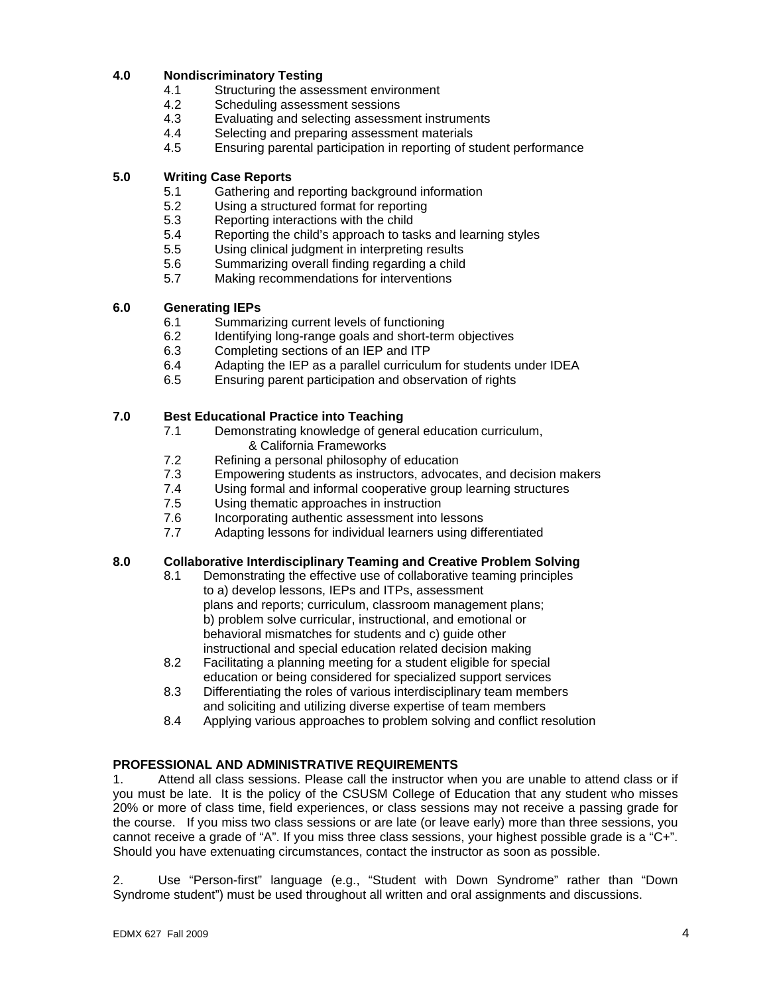# **4.0 Nondiscriminatory Testing**

- 4.1 Structuring the assessment environment
- 4.2 Scheduling assessment sessions
- 4.3 Evaluating and selecting assessment instruments
- 4.4 Selecting and preparing assessment materials
- 4.5 Ensuring parental participation in reporting of student performance

# **5.0 Writing Case Reports**

- Gathering and reporting background information
- 5.2 Using a structured format for reporting
- 5.3 Reporting interactions with the child
- 5.4 Reporting the child's approach to tasks and learning styles
- 5.5 Using clinical judgment in interpreting results
- 5.6 Summarizing overall finding regarding a child
- 5.7 Making recommendations for interventions

# **6.0 Generating IEPs**

- 6.1 Summarizing current levels of functioning
- 6.2 Identifying long-range goals and short-term objectives
- 6.3 Completing sections of an IEP and ITP
- 6.4 Adapting the IEP as a parallel curriculum for students under IDEA<br>6.5 Ensuring parent participation and observation of rights
- Ensuring parent participation and observation of rights

### **7.0 Best Educational Practice into Teaching**

- 7.1 Demonstrating knowledge of general education curriculum, & California Frameworks
- 7.2 Refining a personal philosophy of education
- 7.3 Empowering students as instructors, advocates, and decision makers
- 7.4 Using formal and informal cooperative group learning structures
- 7.5 Using thematic approaches in instruction
- 7.6 Incorporating authentic assessment into lessons
- 7.7 Adapting lessons for individual learners using differentiated

#### **8.0 Collaborative Interdisciplinary Teaming and Creative Problem Solving**

- 8.1 Demonstrating the effective use of collaborative teaming principles to a) develop lessons, IEPs and ITPs, assessment plans and reports; curriculum, classroom management plans; b) problem solve curricular, instructional, and emotional or behavioral mismatches for students and c) guide other instructional and special education related decision making
- 8.2 Facilitating a planning meeting for a student eligible for special education or being considered for specialized support services
- 8.3 Differentiating the roles of various interdisciplinary team members and soliciting and utilizing diverse expertise of team members
- 8.4 Applying various approaches to problem solving and conflict resolution

# **PROFESSIONAL AND ADMINISTRATIVE REQUIREMENTS**

 the course. If you miss two class sessions or are late (or leave early) more than three sessions, you 1. Attend all class sessions. Please call the instructor when you are unable to attend class or if you must be late. It is the policy of the CSUSM College of Education that any student who misses 20% or more of class time, field experiences, or class sessions may not receive a passing grade for cannot receive a grade of "A". If you miss three class sessions, your highest possible grade is a "C+". Should you have extenuating circumstances, contact the instructor as soon as possible.

2. Use "Person-first" language (e.g., "Student with Down Syndrome" rather than "Down Syndrome student") must be used throughout all written and oral assignments and discussions.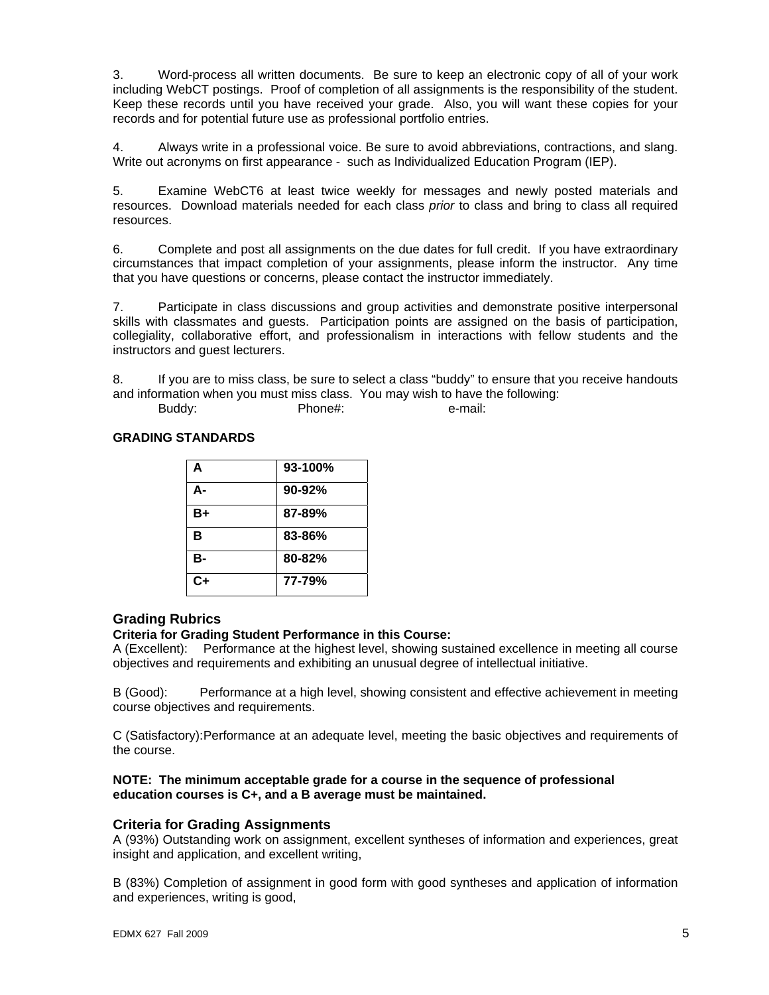3. Word-process all written documents. Be sure to keep an electronic copy of all of your work including WebCT postings. Proof of completion of all assignments is the responsibility of the student. Keep these records until you have received your grade. Also, you will want these copies for your records and for potential future use as professional portfolio entries.

4. Always write in a professional voice. Be sure to avoid abbreviations, contractions, and slang. Write out acronyms on first appearance - such as Individualized Education Program (IEP).

5. Examine WebCT6 at least twice weekly for messages and newly posted materials and resources. Download materials needed for each class *prior* to class and bring to class all required resources.

6. Complete and post all assignments on the due dates for full credit. If you have extraordinary circumstances that impact completion of your assignments, please inform the instructor. Any time that you have questions or concerns, please contact the instructor immediately.

7. Participate in class discussions and group activities and demonstrate positive interpersonal skills with classmates and guests. Participation points are assigned on the basis of participation, collegiality, collaborative effort, and professionalism in interactions with fellow students and the instructors and guest lecturers.

8. If you are to miss class, be sure to select a class "buddy" to ensure that you receive handouts and information when you must miss class. You may wish to have the following: Buddy: Phone#: e-mail:

# **GRADING STANDARDS**

| A    | 93-100% |
|------|---------|
| А-   | 90-92%  |
| B+   | 87-89%  |
| в    | 83-86%  |
| в-   | 80-82%  |
| $C+$ | 77-79%  |

# **Grading Rubrics**

#### **Criteria for Grading Student Performance in this Course:**

A (Excellent): Performance at the highest level, showing sustained excellence in meeting all course objectives and requirements and exhibiting an unusual degree of intellectual initiative.

B (Good): Performance at a high level, showing consistent and effective achievement in meeting course objectives and requirements.

C (Satisfactory): Performance at an adequate level, meeting the basic objectives and requirements of the course.

#### **NOTE: The minimum acceptable grade for a course in the sequence of professional education courses is C+, and a B average must be maintained.**

# **Criteria for Grading Assignments**

A (93%) Outstanding work on assignment, excellent syntheses of information and experiences, great insight and application, and excellent writing,

B (83%) Completion of assignment in good form with good syntheses and application of information and experiences, writing is good,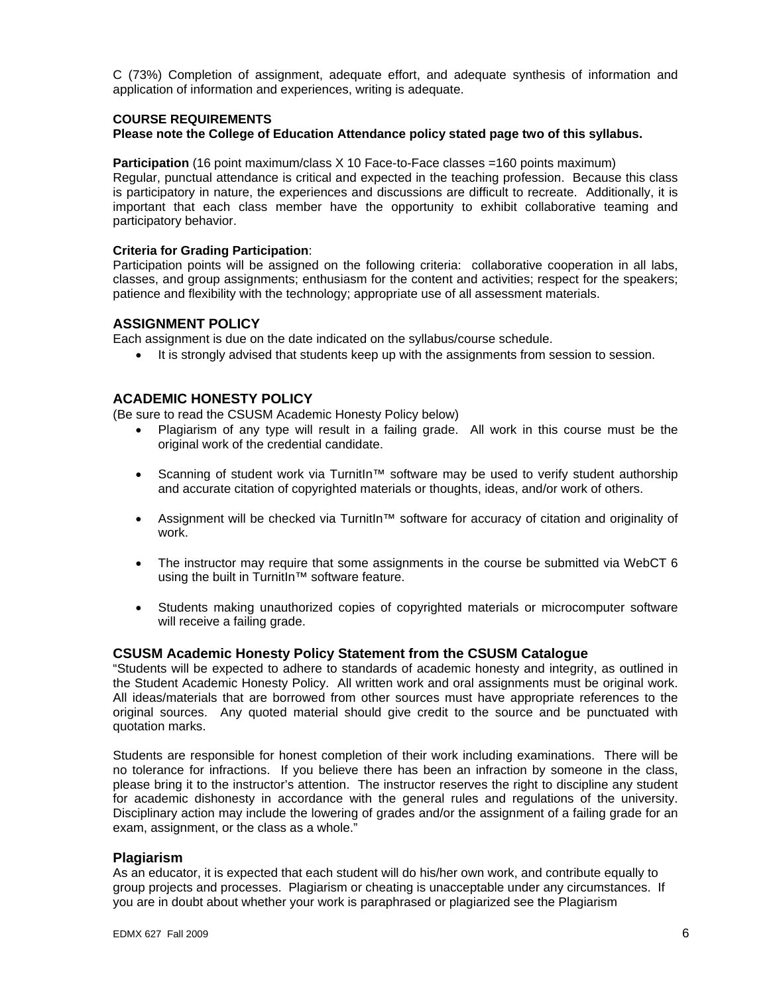C (73%) Completion of assignment, adequate effort, and adequate synthesis of information and application of information and experiences, writing is adequate.

#### **COURSE REQUIREMENTS**

#### **Please note the College of Education Attendance policy stated page two of this syllabus.**

**Participation** (16 point maximum/class X 10 Face-to-Face classes =160 points maximum)

Regular, punctual attendance is critical and expected in the teaching profession. Because this class is participatory in nature, the experiences and discussions are difficult to recreate. Additionally, it is important that each class member have the opportunity to exhibit collaborative teaming and participatory behavior.

#### **Criteria for Grading Participation**:

Participation points will be assigned on the following criteria: collaborative cooperation in all labs, classes, and group assignments; enthusiasm for the content and activities; respect for the speakers; patience and flexibility with the technology; appropriate use of all assessment materials.

# **ASSIGNMENT POLICY**

Each assignment is due on the date indicated on the syllabus/course schedule.

• It is strongly advised that students keep up with the assignments from session to session.

# **ACADEMIC HONESTY POLICY**

(Be sure to read the CSUSM Academic Honesty Policy below)

- Plagiarism of any type will result in a failing grade. All work in this course must be the original work of the credential candidate.
- • Scanning of student work via TurnitIn™ software may be used to verify student authorship and accurate citation of copyrighted materials or thoughts, ideas, and/or work of others.
- Assignment will be checked via TurnitIn<sup>™</sup> software for accuracy of citation and originality of work.
- The instructor may require that some assignments in the course be submitted via WebCT 6 using the built in TurnitIn™ software feature.
- • Students making unauthorized copies of copyrighted materials or microcomputer software will receive a failing grade.

# **CSUSM Academic Honesty Policy Statement from the CSUSM Catalogue**

"Students will be expected to adhere to standards of academic honesty and integrity, as outlined in the Student Academic Honesty Policy. All written work and oral assignments must be original work. All ideas/materials that are borrowed from other sources must have appropriate references to the original sources. Any quoted material should give credit to the source and be punctuated with quotation marks.

Students are responsible for honest completion of their work including examinations. There will be no tolerance for infractions. If you believe there has been an infraction by someone in the class, please bring it to the instructor's attention. The instructor reserves the right to discipline any student for academic dishonesty in accordance with the general rules and regulations of the university. Disciplinary action may include the lowering of grades and/or the assignment of a failing grade for an exam, assignment, or the class as a whole."

#### **Plagiarism**

As an educator, it is expected that each student will do his/her own work, and contribute equally to group projects and processes. Plagiarism or cheating is unacceptable under any circumstances. If you are in doubt about whether your work is paraphrased or plagiarized see the Plagiarism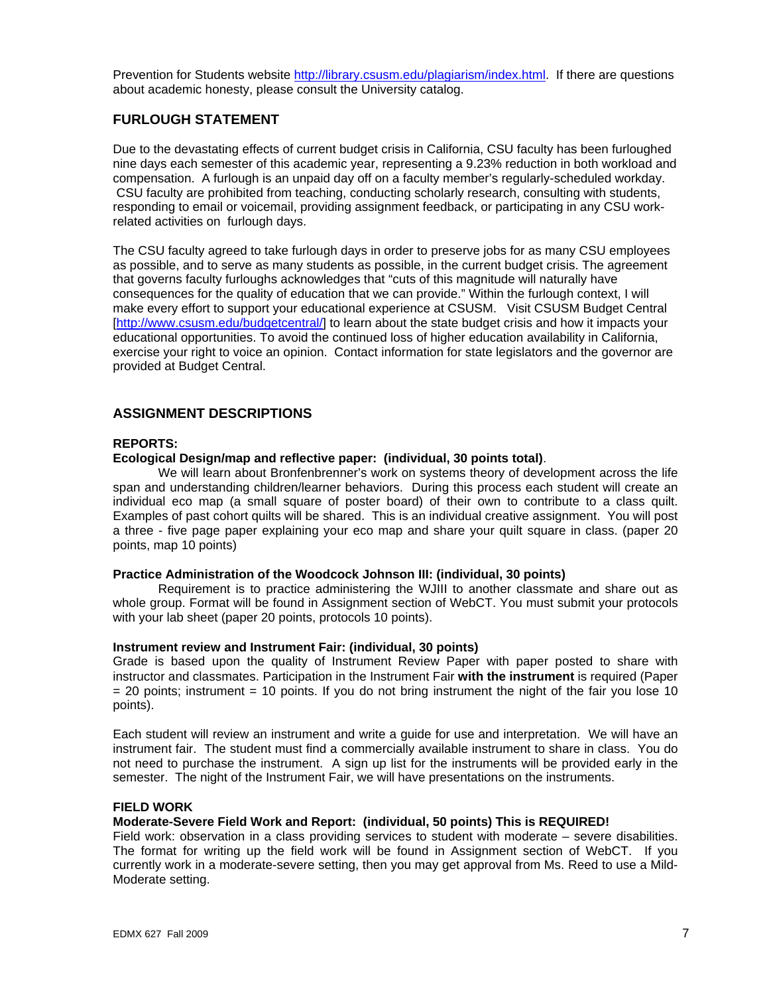Prevention for Students website http://library.csusm.edu/plagiarism/index.html. If there are questions about academic honesty, please consult the University catalog.

# **FURLOUGH STATEMENT**

Due to the devastating effects of current budget crisis in California, CSU faculty has been furloughed nine days each semester of this academic year, representing a 9.23% reduction in both workload and compensation. A furlough is an unpaid day off on a faculty member's regularly-scheduled workday. CSU faculty are prohibited from teaching, conducting scholarly research, consulting with students, responding to email or voicemail, providing assignment feedback, or participating in any CSU workrelated activities on furlough days.

The CSU faculty agreed to take furlough days in order to preserve jobs for as many CSU employees as possible, and to serve as many students as possible, in the current budget crisis. The agreement that governs faculty furloughs acknowledges that "cuts of this magnitude will naturally have consequences for the quality of education that we can provide." Within the furlough context, I will make every effort to support your educational experience at CSUSM. Visit CSUSM Budget Central [http://www.csusm.edu/budgetcentral/] to learn about the state budget crisis and how it impacts your educational opportunities. To avoid the continued loss of higher education availability in California, exercise your right to voice an opinion. Contact information for state legislators and the governor are provided at Budget Central.

# **ASSIGNMENT DESCRIPTIONS**

#### **REPORTS:**

#### **Ecological Design/map and reflective paper: (individual, 30 points total)**.

We will learn about Bronfenbrenner's work on systems theory of development across the life span and understanding children/learner behaviors. During this process each student will create an individual eco map (a small square of poster board) of their own to contribute to a class quilt. Examples of past cohort quilts will be shared. This is an individual creative assignment. You will post a three - five page paper explaining your eco map and share your quilt square in class. (paper 20 points, map 10 points)

#### **Practice Administration of the Woodcock Johnson III: (individual, 30 points)**

Requirement is to practice administering the WJIII to another classmate and share out as whole group. Format will be found in Assignment section of WebCT. You must submit your protocols with your lab sheet (paper 20 points, protocols 10 points).

#### **Instrument review and Instrument Fair: (individual, 30 points)**

Grade is based upon the quality of Instrument Review Paper with paper posted to share with instructor and classmates. Participation in the Instrument Fair **with the instrument** is required (Paper  $= 20$  points; instrument  $= 10$  points. If you do not bring instrument the night of the fair you lose 10 points).

Each student will review an instrument and write a guide for use and interpretation. We will have an instrument fair. The student must find a commercially available instrument to share in class. You do not need to purchase the instrument. A sign up list for the instruments will be provided early in the semester. The night of the Instrument Fair, we will have presentations on the instruments.

#### **FIELD WORK**

#### **Moderate-Severe Field Work and Report: (individual, 50 points) This is REQUIRED!**

Field work: observation in a class providing services to student with moderate – severe disabilities. The format for writing up the field work will be found in Assignment section of WebCT. If you currently work in a moderate-severe setting, then you may get approval from Ms. Reed to use a Mild-Moderate setting.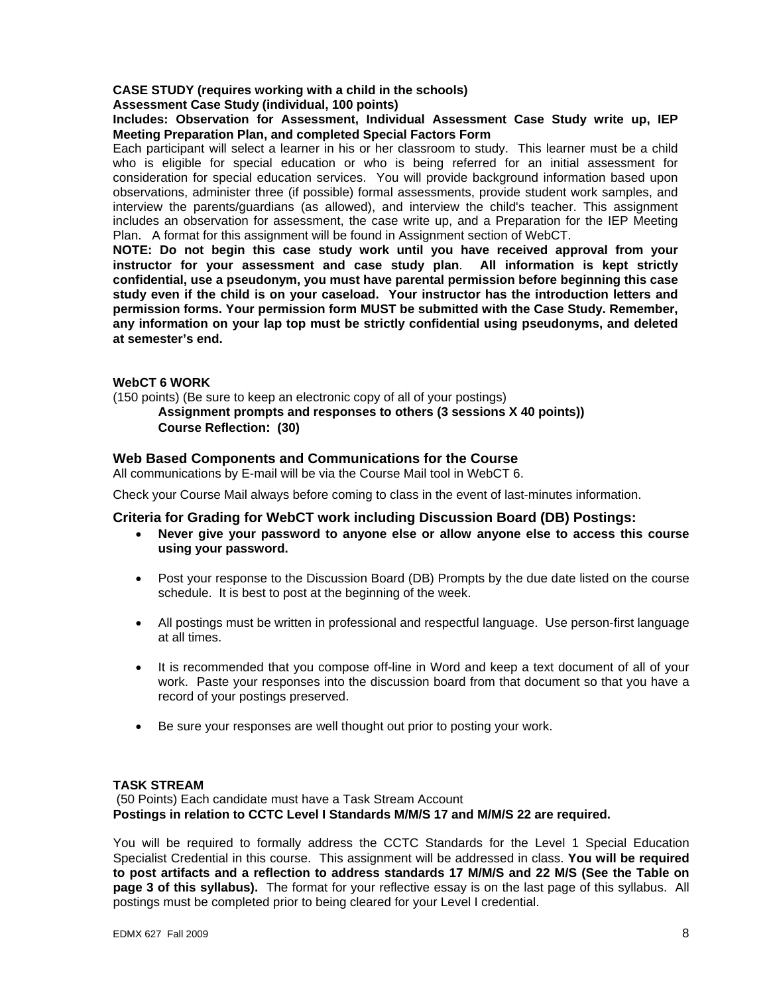#### **CASE STUDY (requires working with a child in the schools)**

## **Assessment Case Study (individual, 100 points)**

#### **Includes: Observation for Assessment, Individual Assessment Case Study write up, IEP Meeting Preparation Plan, and completed Special Factors Form**

Each participant will select a learner in his or her classroom to study. This learner must be a child who is eligible for special education or who is being referred for an initial assessment for consideration for special education services. You will provide background information based upon observations, administer three (if possible) formal assessments, provide student work samples, and interview the parents/guardians (as allowed), and interview the child's teacher. This assignment includes an observation for assessment, the case write up, and a Preparation for the IEP Meeting Plan. A format for this assignment will be found in Assignment section of WebCT.

**NOTE: Do not begin this case study work until you have received approval from your instructor for your assessment and case study plan**. **All information is kept strictly confidential, use a pseudonym, you must have parental permission before beginning this case study even if the child is on your caseload. Your instructor has the introduction letters and permission forms. Your permission form MUST be submitted with the Case Study. Remember, any information on your lap top must be strictly confidential using pseudonyms, and deleted at semester's end.** 

## **WebCT 6 WORK**

(150 points) (Be sure to keep an electronic copy of all of your postings)

**Assignment prompts and responses to others (3 sessions X 40 points)) Course Reflection: (30)** 

### **Web Based Components and Communications for the Course**

All communications by E-mail will be via the Course Mail tool in WebCT 6.

Check your Course Mail always before coming to class in the event of last-minutes information.

#### **Criteria for Grading for WebCT work including Discussion Board (DB) Postings:**

- • **Never give your password to anyone else or allow anyone else to access this course using your password.**
- Post your response to the Discussion Board (DB) Prompts by the due date listed on the course schedule. It is best to post at the beginning of the week.
- at all times. • All postings must be written in professional and respectful language. Use person-first language
- It is recommended that you compose off-line in Word and keep a text document of all of your work. Paste your responses into the discussion board from that document so that you have a record of your postings preserved.
- Be sure your responses are well thought out prior to posting your work.

#### **TASK STREAM**

(50 Points) Each candidate must have a Task Stream Account **Postings in relation to CCTC Level I Standards M/M/S 17 and M/M/S 22 are required.** 

You will be required to formally address the CCTC Standards for the Level 1 Special Education Specialist Credential in this course. This assignment will be addressed in class. **You will be required to post artifacts and a reflection to address standards 17 M/M/S and 22 M/S (See the Table on page 3 of this syllabus).** The format for your reflective essay is on the last page of this syllabus. All postings must be completed prior to being cleared for your Level I credential.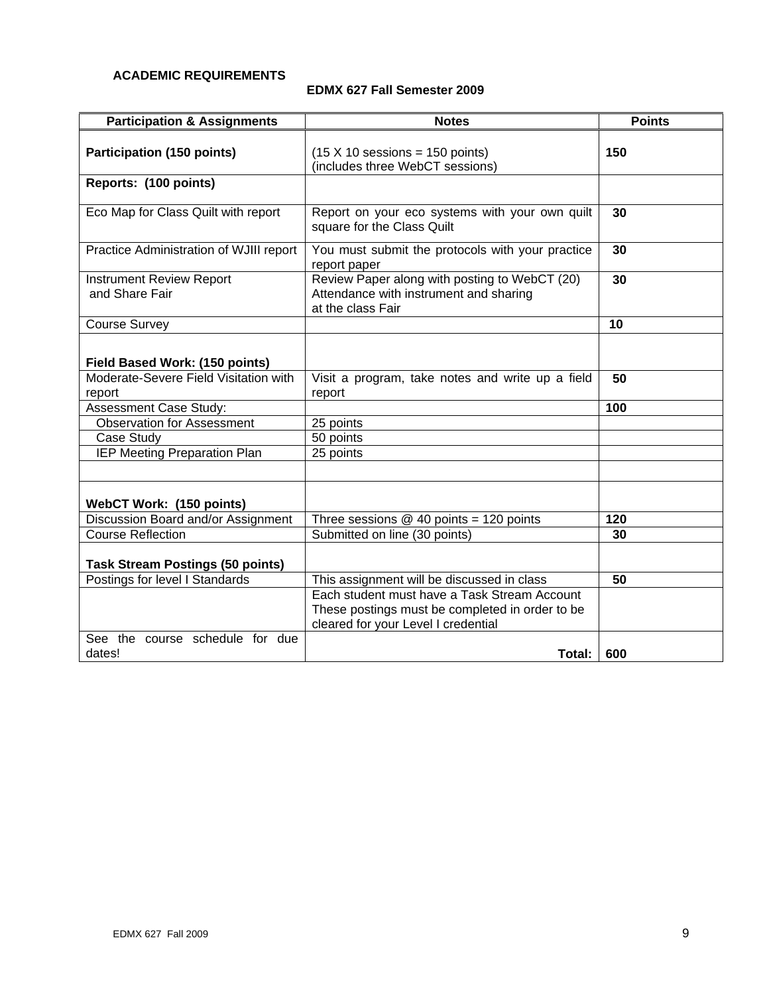# **ACADEMIC REQUIREMENTS**

# **EDMX 627 Fall Semester 2009**

| <b>Participation &amp; Assignments</b>                                  | <b>Notes</b>                                                                                                                           | <b>Points</b> |
|-------------------------------------------------------------------------|----------------------------------------------------------------------------------------------------------------------------------------|---------------|
| <b>Participation (150 points)</b>                                       | $(15 \times 10$ sessions = 150 points)<br>(includes three WebCT sessions)                                                              | 150           |
| Reports: (100 points)                                                   |                                                                                                                                        |               |
| Eco Map for Class Quilt with report                                     | Report on your eco systems with your own quilt<br>square for the Class Quilt                                                           | 30            |
| Practice Administration of WJIII report                                 | You must submit the protocols with your practice<br>report paper                                                                       | 30            |
| <b>Instrument Review Report</b><br>and Share Fair                       | Review Paper along with posting to WebCT (20)<br>Attendance with instrument and sharing<br>at the class Fair                           | 30            |
| <b>Course Survey</b>                                                    |                                                                                                                                        | 10            |
| Field Based Work: (150 points)<br>Moderate-Severe Field Visitation with | Visit a program, take notes and write up a field                                                                                       | 50            |
| report                                                                  | report                                                                                                                                 |               |
| Assessment Case Study:                                                  |                                                                                                                                        | 100           |
| <b>Observation for Assessment</b>                                       | 25 points                                                                                                                              |               |
| Case Study                                                              | 50 points                                                                                                                              |               |
| <b>IEP Meeting Preparation Plan</b>                                     | 25 points                                                                                                                              |               |
|                                                                         |                                                                                                                                        |               |
| WebCT Work: (150 points)                                                |                                                                                                                                        |               |
| Discussion Board and/or Assignment                                      | Three sessions $@$ 40 points = 120 points                                                                                              | 120           |
| <b>Course Reflection</b>                                                | Submitted on line (30 points)                                                                                                          | 30            |
| <b>Task Stream Postings (50 points)</b>                                 |                                                                                                                                        |               |
| Postings for level I Standards                                          | This assignment will be discussed in class                                                                                             | 50            |
|                                                                         | Each student must have a Task Stream Account<br>These postings must be completed in order to be<br>cleared for your Level I credential |               |
| See the course schedule for due<br>dates!                               | Total:                                                                                                                                 | 600           |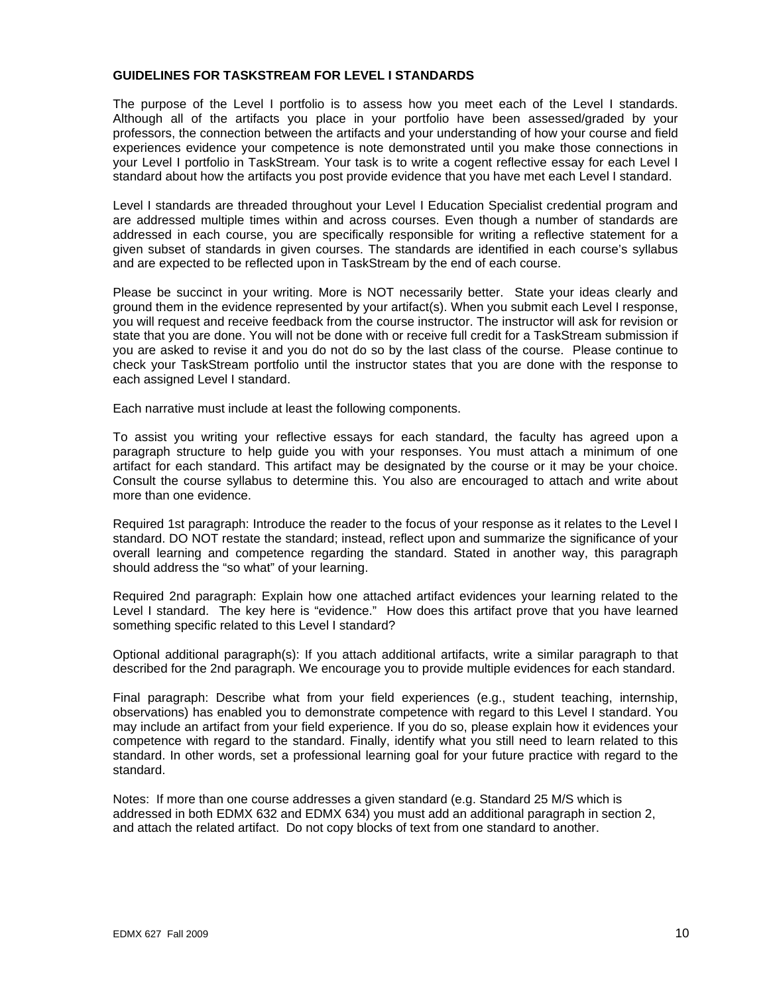#### **GUIDELINES FOR TASKSTREAM FOR LEVEL I STANDARDS**

The purpose of the Level I portfolio is to assess how you meet each of the Level I standards. Although all of the artifacts you place in your portfolio have been assessed/graded by your professors, the connection between the artifacts and your understanding of how your course and field experiences evidence your competence is note demonstrated until you make those connections in your Level I portfolio in TaskStream. Your task is to write a cogent reflective essay for each Level I standard about how the artifacts you post provide evidence that you have met each Level I standard.

Level I standards are threaded throughout your Level I Education Specialist credential program and are addressed multiple times within and across courses. Even though a number of standards are addressed in each course, you are specifically responsible for writing a reflective statement for a given subset of standards in given courses. The standards are identified in each course's syllabus and are expected to be reflected upon in TaskStream by the end of each course.

Please be succinct in your writing. More is NOT necessarily better. State your ideas clearly and ground them in the evidence represented by your artifact(s). When you submit each Level I response, you will request and receive feedback from the course instructor. The instructor will ask for revision or state that you are done. You will not be done with or receive full credit for a TaskStream submission if you are asked to revise it and you do not do so by the last class of the course. Please continue to check your TaskStream portfolio until the instructor states that you are done with the response to each assigned Level I standard.

Each narrative must include at least the following components.

To assist you writing your reflective essays for each standard, the faculty has agreed upon a paragraph structure to help guide you with your responses. You must attach a minimum of one artifact for each standard. This artifact may be designated by the course or it may be your choice. Consult the course syllabus to determine this. You also are encouraged to attach and write about more than one evidence.

Required 1st paragraph: Introduce the reader to the focus of your response as it relates to the Level I standard. DO NOT restate the standard; instead, reflect upon and summarize the significance of your overall learning and competence regarding the standard. Stated in another way, this paragraph should address the "so what" of your learning.

Required 2nd paragraph: Explain how one attached artifact evidences your learning related to the Level I standard. The key here is "evidence." How does this artifact prove that you have learned something specific related to this Level I standard?

Optional additional paragraph(s): If you attach additional artifacts, write a similar paragraph to that described for the 2nd paragraph. We encourage you to provide multiple evidences for each standard.

Final paragraph: Describe what from your field experiences (e.g., student teaching, internship, observations) has enabled you to demonstrate competence with regard to this Level I standard. You may include an artifact from your field experience. If you do so, please explain how it evidences your competence with regard to the standard. Finally, identify what you still need to learn related to this standard. In other words, set a professional learning goal for your future practice with regard to the standard.

Notes: If more than one course addresses a given standard (e.g. Standard 25 M/S which is addressed in both EDMX 632 and EDMX 634) you must add an additional paragraph in section 2, and attach the related artifact. Do not copy blocks of text from one standard to another.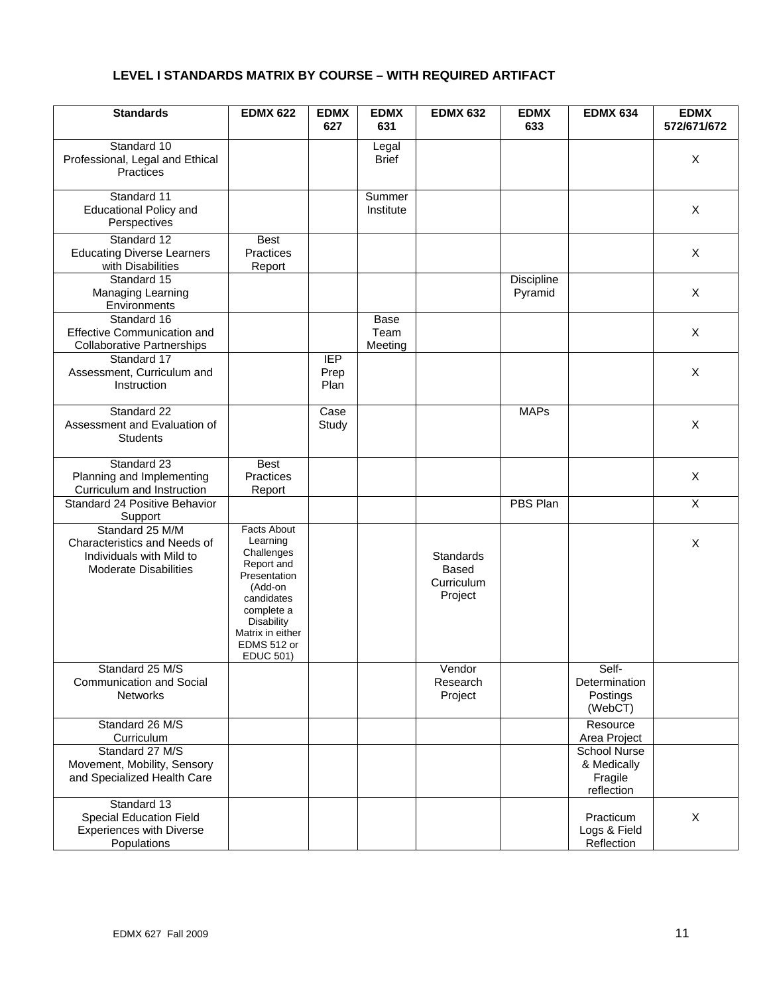# **LEVEL I STANDARDS MATRIX BY COURSE – WITH REQUIRED ARTIFACT**

| <b>Standards</b>                                                                                            | <b>EDMX 622</b>                                                                                                                                                                        | <b>EDMX</b><br>627         | <b>EDMX</b><br>631             | <b>EDMX 632</b>                                    | <b>EDMX</b><br>633    | <b>EDMX 634</b>                                             | <b>EDMX</b><br>572/671/672 |
|-------------------------------------------------------------------------------------------------------------|----------------------------------------------------------------------------------------------------------------------------------------------------------------------------------------|----------------------------|--------------------------------|----------------------------------------------------|-----------------------|-------------------------------------------------------------|----------------------------|
| Standard 10<br>Professional, Legal and Ethical<br>Practices                                                 |                                                                                                                                                                                        |                            | Legal<br><b>Brief</b>          |                                                    |                       |                                                             | X                          |
| Standard 11<br><b>Educational Policy and</b><br>Perspectives                                                |                                                                                                                                                                                        |                            | Summer<br>Institute            |                                                    |                       |                                                             | X                          |
| Standard 12<br><b>Educating Diverse Learners</b><br>with Disabilities                                       | <b>Best</b><br>Practices<br>Report                                                                                                                                                     |                            |                                |                                                    |                       |                                                             | X                          |
| Standard 15<br>Managing Learning<br>Environments                                                            |                                                                                                                                                                                        |                            |                                |                                                    | Discipline<br>Pyramid |                                                             | X                          |
| Standard 16<br><b>Effective Communication and</b><br><b>Collaborative Partnerships</b>                      |                                                                                                                                                                                        |                            | <b>Base</b><br>Team<br>Meeting |                                                    |                       |                                                             | X                          |
| Standard 17<br>Assessment, Curriculum and<br>Instruction                                                    |                                                                                                                                                                                        | <b>IEP</b><br>Prep<br>Plan |                                |                                                    |                       |                                                             | X                          |
| Standard 22<br>Assessment and Evaluation of<br><b>Students</b>                                              |                                                                                                                                                                                        | Case<br>Study              |                                |                                                    | <b>MAPs</b>           |                                                             | X                          |
| Standard 23<br>Planning and Implementing<br>Curriculum and Instruction                                      | <b>Best</b><br><b>Practices</b><br>Report                                                                                                                                              |                            |                                |                                                    |                       |                                                             | X                          |
| Standard 24 Positive Behavior<br>Support                                                                    |                                                                                                                                                                                        |                            |                                |                                                    | <b>PBS Plan</b>       |                                                             | $\overline{\mathsf{x}}$    |
| Standard 25 M/M<br>Characteristics and Needs of<br>Individuals with Mild to<br><b>Moderate Disabilities</b> | <b>Facts About</b><br>Learning<br>Challenges<br>Report and<br>Presentation<br>(Add-on<br>candidates<br>complete a<br>Disability<br>Matrix in either<br>EDMS 512 or<br><b>EDUC 501)</b> |                            |                                | Standards<br><b>Based</b><br>Curriculum<br>Project |                       |                                                             | X                          |
| Standard 25 M/S<br>Communication and Social<br><b>Networks</b>                                              |                                                                                                                                                                                        |                            |                                | Vendor<br>Research<br>Project                      |                       | Self-<br>Determination<br>Postings<br>(WebCT)               |                            |
| Standard 26 M/S<br>Curriculum                                                                               |                                                                                                                                                                                        |                            |                                |                                                    |                       | Resource<br>Area Project                                    |                            |
| Standard 27 M/S<br>Movement, Mobility, Sensory<br>and Specialized Health Care                               |                                                                                                                                                                                        |                            |                                |                                                    |                       | <b>School Nurse</b><br>& Medically<br>Fragile<br>reflection |                            |
| Standard 13<br><b>Special Education Field</b><br><b>Experiences with Diverse</b><br>Populations             |                                                                                                                                                                                        |                            |                                |                                                    |                       | Practicum<br>Logs & Field<br>Reflection                     | X                          |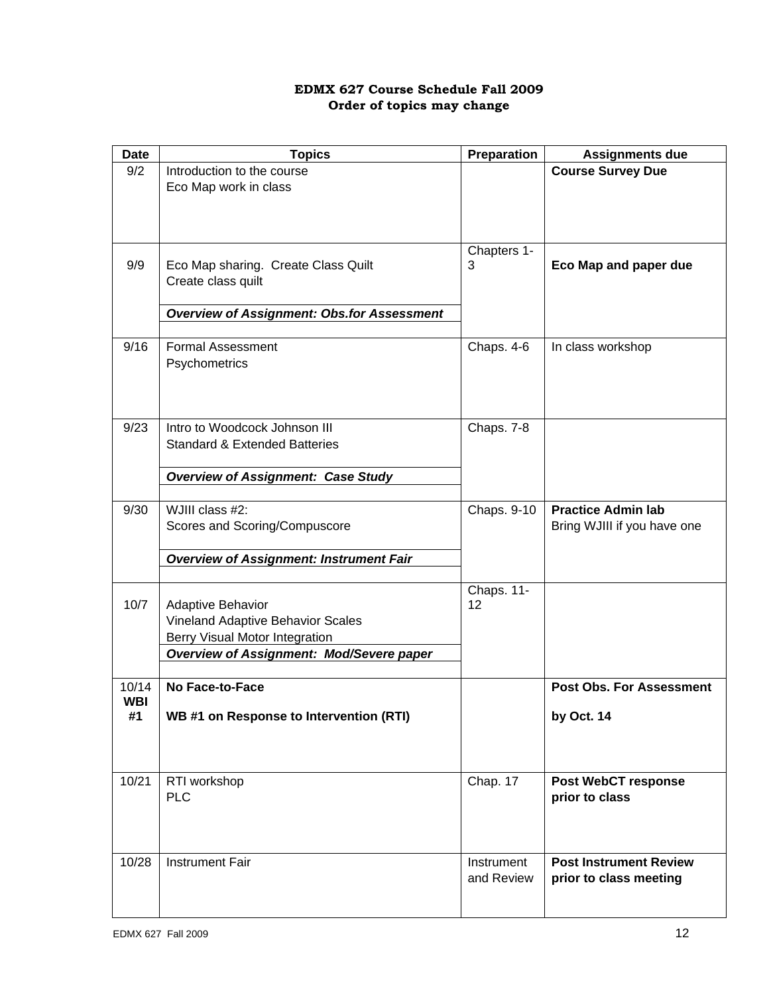# **EDMX 627 Course Schedule Fall 2009 Order of topics may change**

| <b>Date</b> | <b>Topics</b>                                                                     | Preparation | <b>Assignments due</b>          |
|-------------|-----------------------------------------------------------------------------------|-------------|---------------------------------|
| 9/2         | Introduction to the course                                                        |             | <b>Course Survey Due</b>        |
|             | Eco Map work in class                                                             |             |                                 |
|             |                                                                                   |             |                                 |
|             |                                                                                   |             |                                 |
|             |                                                                                   |             |                                 |
|             |                                                                                   | Chapters 1- |                                 |
| 9/9         | Eco Map sharing. Create Class Quilt                                               | 3           | Eco Map and paper due           |
|             | Create class quilt                                                                |             |                                 |
|             |                                                                                   |             |                                 |
|             | <b>Overview of Assignment: Obs.for Assessment</b>                                 |             |                                 |
| 9/16        | <b>Formal Assessment</b>                                                          | Chaps. 4-6  | In class workshop               |
|             | Psychometrics                                                                     |             |                                 |
|             |                                                                                   |             |                                 |
|             |                                                                                   |             |                                 |
|             |                                                                                   |             |                                 |
| 9/23        | Intro to Woodcock Johnson III                                                     | Chaps. 7-8  |                                 |
|             | <b>Standard &amp; Extended Batteries</b>                                          |             |                                 |
|             |                                                                                   |             |                                 |
|             | <b>Overview of Assignment: Case Study</b>                                         |             |                                 |
|             |                                                                                   |             |                                 |
| 9/30        | WJIII class #2:                                                                   | Chaps. 9-10 | <b>Practice Admin lab</b>       |
|             | Scores and Scoring/Compuscore                                                     |             | Bring WJIII if you have one     |
|             |                                                                                   |             |                                 |
|             | <b>Overview of Assignment: Instrument Fair</b>                                    |             |                                 |
|             |                                                                                   |             |                                 |
|             |                                                                                   | Chaps. 11-  |                                 |
| 10/7        | Adaptive Behavior                                                                 | 12          |                                 |
|             | <b>Vineland Adaptive Behavior Scales</b>                                          |             |                                 |
|             | Berry Visual Motor Integration<br><b>Overview of Assignment: Mod/Severe paper</b> |             |                                 |
|             |                                                                                   |             |                                 |
| 10/14       | No Face-to-Face                                                                   |             | <b>Post Obs. For Assessment</b> |
| <b>WBI</b>  |                                                                                   |             |                                 |
| #1          | WB #1 on Response to Intervention (RTI)                                           |             | by Oct. 14                      |
|             |                                                                                   |             |                                 |
|             |                                                                                   |             |                                 |
|             |                                                                                   |             |                                 |
| 10/21       | RTI workshop                                                                      | Chap. 17    | <b>Post WebCT response</b>      |
|             | <b>PLC</b>                                                                        |             | prior to class                  |
|             |                                                                                   |             |                                 |
|             |                                                                                   |             |                                 |
|             |                                                                                   |             |                                 |
| 10/28       | <b>Instrument Fair</b>                                                            | Instrument  | <b>Post Instrument Review</b>   |
|             |                                                                                   | and Review  | prior to class meeting          |
|             |                                                                                   |             |                                 |